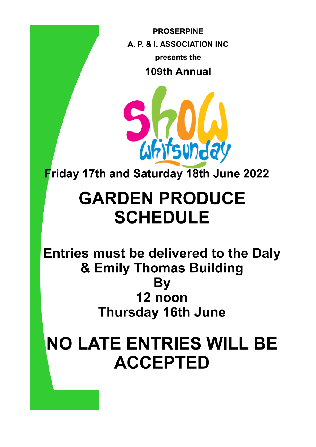**PROSERPINE** A. P. & I. ASSOCIATION INC presents the 109th Annual

Whitsunday

Friday 17th and Saturday 18th June 2022

# **GARDEN PRODUCE SCHEDULE**

Entries must be delivered to the Daly & Emily Thomas Building By 12 noon **Thursday 16th June** 

# **NO LATE ENTRIES WILL BE ACCEPTED**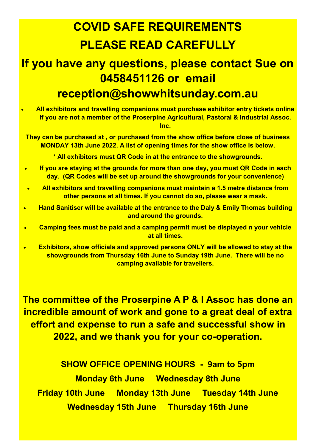# **COVID SAFE REQUIREMENTS PLEASE READ CAREFULLY**

## **If you have any questions, please contact Sue on 0458451126 or email reception@showwhitsunday.com.au**

• **All exhibitors and travelling companions must purchase exhibitor entry tickets online if you are not a member of the Proserpine Agricultural, Pastoral & Industrial Assoc. Inc.**

**They can be purchased at , or purchased from the show office before close of business MONDAY 13th June 2022. A list of opening times for the show office is below.**

**\* All exhibitors must QR Code in at the entrance to the showgrounds.**

- **If you are staying at the grounds for more than one day, you must QR Code in each day. (QR Codes will be set up around the showgrounds for your convenience)**
- **All exhibitors and travelling companions must maintain a 1.5 metre distance from other persons at all times. If you cannot do so, please wear a mask.**
- **Hand Sanitiser will be available at the entrance to the Daly & Emily Thomas building and around the grounds.**
- **Camping fees must be paid and a camping permit must be displayed n your vehicle at all times.**
- **Exhibitors, show officials and approved persons ONLY will be allowed to stay at the showgrounds from Thursday 16th June to Sunday 19th June. There will be no camping available for travellers.**

**The committee of the Proserpine A P & I Assoc has done an incredible amount of work and gone to a great deal of extra effort and expense to run a safe and successful show in 2022, and we thank you for your co-operation.**

**SHOW OFFICE OPENING HOURS - 9am to 5pm Monday 6th June Wednesday 8th June Friday 10th June Monday 13th June Tuesday 14th June Wednesday 15th June Thursday 16th June**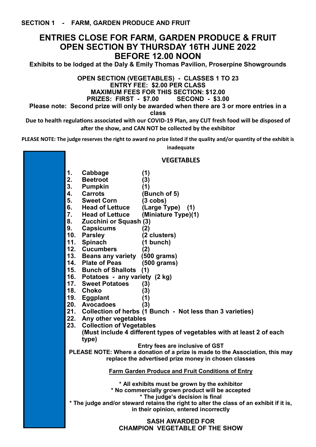### **ENTRIES CLOSE FOR FARM, GARDEN PRODUCE & FRUIT OPEN SECTION BY THURSDAY 16TH JUNE 2022 BEFORE 12.00 NOON**

**Exhibits to be lodged at the Daly & Emily Thomas Pavilion, Proserpine Showgrounds**

**OPEN SECTION (VEGETABLES) - CLASSES 1 TO 23 ENTRY FEE: \$2.00 PER CLASS MAXIMUM FEES FOR THIS SECTION: \$12.00**

**PRIZES: FIRST - \$7.00 SECOND - \$3.00**

**Please note: Second prize will only be awarded when there are 3 or more entries in a class**

**Due to health regulations associated with our COVID-19 Plan, any CUT fresh food will be disposed of after the show, and CAN NOT be collected by the exhibitor**

**PLEASE NOTE: The judge reserves the right to award no prize listed if the quality and/or quantity of the exhibit is** 

**inadequate**

#### **VEGETABLES**

| 1.  | Cabbage                                | (1)                                                                                     |  |  |  |  |
|-----|----------------------------------------|-----------------------------------------------------------------------------------------|--|--|--|--|
| 2.  | <b>Beetroot</b>                        | (3)                                                                                     |  |  |  |  |
| 3.  | <b>Pumpkin</b>                         | (1)                                                                                     |  |  |  |  |
| 4.  | <b>Carrots</b>                         | (Bunch of 5)                                                                            |  |  |  |  |
| 5.  | <b>Sweet Corn</b>                      | $(3 \ncobs)$                                                                            |  |  |  |  |
| 6.  | <b>Head of Lettuce</b>                 | (Large Type) (1)                                                                        |  |  |  |  |
| 7.  | <b>Head of Lettuce</b>                 | (Miniature Type)(1)                                                                     |  |  |  |  |
| 8.  | Zucchini or Squash (3)                 |                                                                                         |  |  |  |  |
| 9.  | <b>Capsicums</b>                       | (2)                                                                                     |  |  |  |  |
| 10. | <b>Parsley</b>                         | (2 clusters)                                                                            |  |  |  |  |
| 11. | <b>Spinach</b>                         | $(1$ bunch)                                                                             |  |  |  |  |
|     | 12. Cucumbers                          | (2)                                                                                     |  |  |  |  |
|     | 13. Beans any variety (500 grams)      |                                                                                         |  |  |  |  |
|     | 14. Plate of Peas                      | $(500 \text{ grams})$                                                                   |  |  |  |  |
|     | 15. Bunch of Shallots (1)              |                                                                                         |  |  |  |  |
|     | 16. Potatoes - any variety (2 kg)      |                                                                                         |  |  |  |  |
|     | 17. Sweet Potatoes                     | (3)                                                                                     |  |  |  |  |
|     | 18. Choko                              | (3)                                                                                     |  |  |  |  |
|     | 19. Eggplant                           | (1)                                                                                     |  |  |  |  |
|     | 20. Avocadoes                          | (3)                                                                                     |  |  |  |  |
|     |                                        | 21. Collection of herbs (1 Bunch - Not less than 3 varieties)                           |  |  |  |  |
|     | 22. Any other vegetables               |                                                                                         |  |  |  |  |
|     | 23.<br><b>Collection of Vegetables</b> |                                                                                         |  |  |  |  |
|     |                                        | (Must include 4 different types of vegetables with at least 2 of each                   |  |  |  |  |
|     | type)                                  |                                                                                         |  |  |  |  |
|     |                                        | Entry fees are inclusive of GST                                                         |  |  |  |  |
|     |                                        | PLEASE NOTE: Where a donation of a prize is made to the Association, this may           |  |  |  |  |
|     |                                        | replace the advertised prize money in chosen classes                                    |  |  |  |  |
|     |                                        | <b>Farm Garden Produce and Fruit Conditions of Entry</b>                                |  |  |  |  |
|     |                                        |                                                                                         |  |  |  |  |
|     |                                        | * All exhibits must be grown by the exhibitor                                           |  |  |  |  |
|     |                                        | * No commercially grown product will be accepted                                        |  |  |  |  |
|     |                                        | * The judge's decision is final                                                         |  |  |  |  |
|     |                                        | * The judge and/or steward retains the right to alter the class of an exhibit if it is, |  |  |  |  |
|     |                                        | in their opinion, entered incorrectly                                                   |  |  |  |  |
|     |                                        | <b>SASH AWARDED FOR</b>                                                                 |  |  |  |  |

**CHAMPION VEGETABLE OF THE SHOW**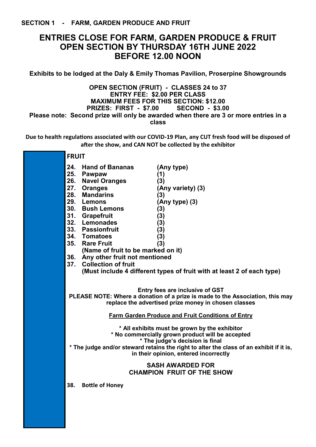## **ENTRIES CLOSE FOR FARM, GARDEN PRODUCE & FRUIT OPEN SECTION BY THURSDAY 16TH JUNE 2022 BEFORE 12.00 NOON**

**Exhibits to be lodged at the Daly & Emily Thomas Pavilion, Proserpine Showgrounds**

#### **OPEN SECTION (FRUIT) - CLASSES 24 to 37 ENTRY FEE: \$2.00 PER CLASS MAXIMUM FEES FOR THIS SECTION: \$12.00 PRIZES: FIRST - \$7.00 SECOND - \$3.00 Please note: Second prize will only be awarded when there are 3 or more entries in a class**

**Due to health regulations associated with our COVID-19 Plan, any CUT fresh food will be disposed of after the show, and CAN NOT be collected by the exhibitor**

| <b>FRUIT</b>                                                                                                                                                                                                                                                                                                                     |                                                                                                                                                                                                |  |  |  |
|----------------------------------------------------------------------------------------------------------------------------------------------------------------------------------------------------------------------------------------------------------------------------------------------------------------------------------|------------------------------------------------------------------------------------------------------------------------------------------------------------------------------------------------|--|--|--|
| 24.<br><b>Hand of Bananas</b><br>25. Pawpaw<br>26. Navel Oranges<br>27. Oranges<br>28. Mandarins<br>29. Lemons<br>30. Bush Lemons<br>31. Grapefruit<br>32. Lemonades<br>33. Passionfruit<br>34. Tomatoes<br>35. Rare Fruit<br>(Name of fruit to be marked on it)<br>36. Any other fruit not mentioned<br>37. Collection of fruit | (Any type)<br>(1)<br>(3)<br>(Any variety) (3)<br>(3)<br>$(Any type)$ $(3)$<br>(3)<br>(3)<br>(3)<br>(3)<br>(3)<br>(3)<br>(Must include 4 different types of fruit with at least 2 of each type) |  |  |  |
| Entry fees are inclusive of GST<br>PLEASE NOTE: Where a donation of a prize is made to the Association, this may<br>replace the advertised prize money in chosen classes                                                                                                                                                         |                                                                                                                                                                                                |  |  |  |
| Farm Garden Produce and Fruit Conditions of Entry                                                                                                                                                                                                                                                                                |                                                                                                                                                                                                |  |  |  |
| * All exhibits must be grown by the exhibitor<br>* No commercially grown product will be accepted<br>* The judge's decision is final<br>* The judge and/or steward retains the right to alter the class of an exhibit if it is,<br>in their opinion, entered incorrectly                                                         |                                                                                                                                                                                                |  |  |  |
| <b>SASH AWARDED FOR</b><br><b>CHAMPION FRUIT OF THE SHOW</b>                                                                                                                                                                                                                                                                     |                                                                                                                                                                                                |  |  |  |
| 38.<br><b>Bottle of Honey</b>                                                                                                                                                                                                                                                                                                    |                                                                                                                                                                                                |  |  |  |
|                                                                                                                                                                                                                                                                                                                                  |                                                                                                                                                                                                |  |  |  |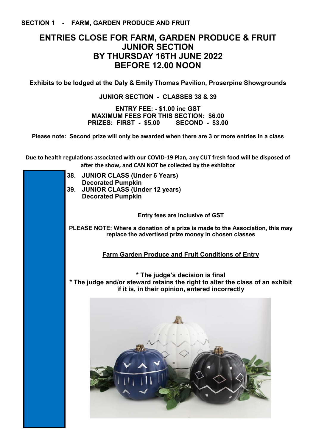## **ENTRIES CLOSE FOR FARM, GARDEN PRODUCE & FRUIT JUNIOR SECTION BY THURSDAY 16TH JUNE 2022 BEFORE 12.00 NOON**

**Exhibits to be lodged at the Daly & Emily Thomas Pavilion, Proserpine Showgrounds**

#### **JUNIOR SECTION - CLASSES 38 & 39**

**ENTRY FEE: - \$1.00 inc GST MAXIMUM FEES FOR THIS SECTION: \$6.00 PRIZES: FIRST - \$5.00 SECOND - \$3.00**

**Please note: Second prize will only be awarded when there are 3 or more entries in a class**

**Due to health regulations associated with our COVID-19 Plan, any CUT fresh food will be disposed of after the show, and CAN NOT be collected by the exhibitor**